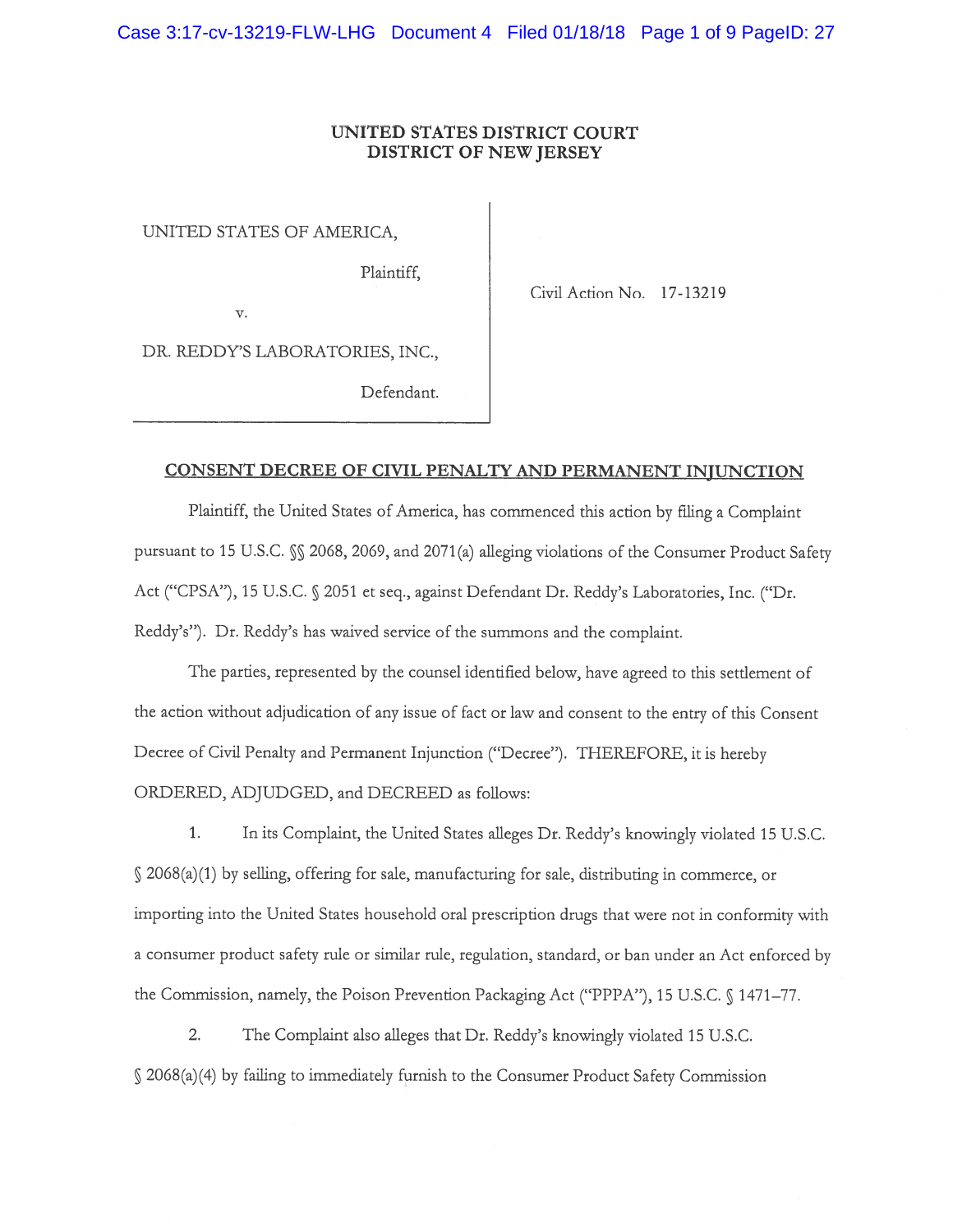# UNITED STATES DISTRICT COURT DISTRICT OF NEW JERSEY

UNITED STATES OF AMERICA,

Plaintiff,

Civil Action No. 17-13219

V.

DR. REDDY'S LABORATORIES, INC.,

Defendant.

# CONSENT DECREE OF CIVIL PENALTY AND PERMANENT INJUNCTION

Plaintiff the United States of America, has commenced this action by filing <sup>a</sup> Complaint pursuant to 15 U.S.C.  $\S$  2068, 2069, and 2071(a) alleging violations of the Consumer Product Safety Act ("CPSA"), 15 U.S.C. § 2051 et seq., against Defendant Dr. Reddy's Laboratories, Inc. ("Dr. Reddy's"). Dr. Reddy's has waived service of the summons and the complaint.

The parties, represented by the counsel identified below, have agreed to this settlement of the action without adjudication of any issue of fact or law and consent to the entry of this Consent Decree of Civil Penalty and Permanent Injunction ("Decree"). THEREFORE, it is hereby ORDERED, ADJUDGED, and DECREED as follows:

1. In its Complaint, the United States alleges Dr. Reddy's knowingly violated 15 U.S.C. 2068(a)(1) by selling, offering for sale, manufacturing for sale, distributing in commerce, or importing into the United States household oral prescription drugs that were not in conformity with <sup>a</sup> consumer product safety rule or similar rule, regulation, standard, or ban under an Act enforced by the Commission, namely, the Poison Prevention Packaging Act ("PPPA"), 15 U.S.C. § 1471-77.

2. The Complaint also alleges that Dr. Reddy's knowingly violated 15 U.S.C. 2068(a) (4) by failing to immediately furnish to the Consumer Product Safety Commission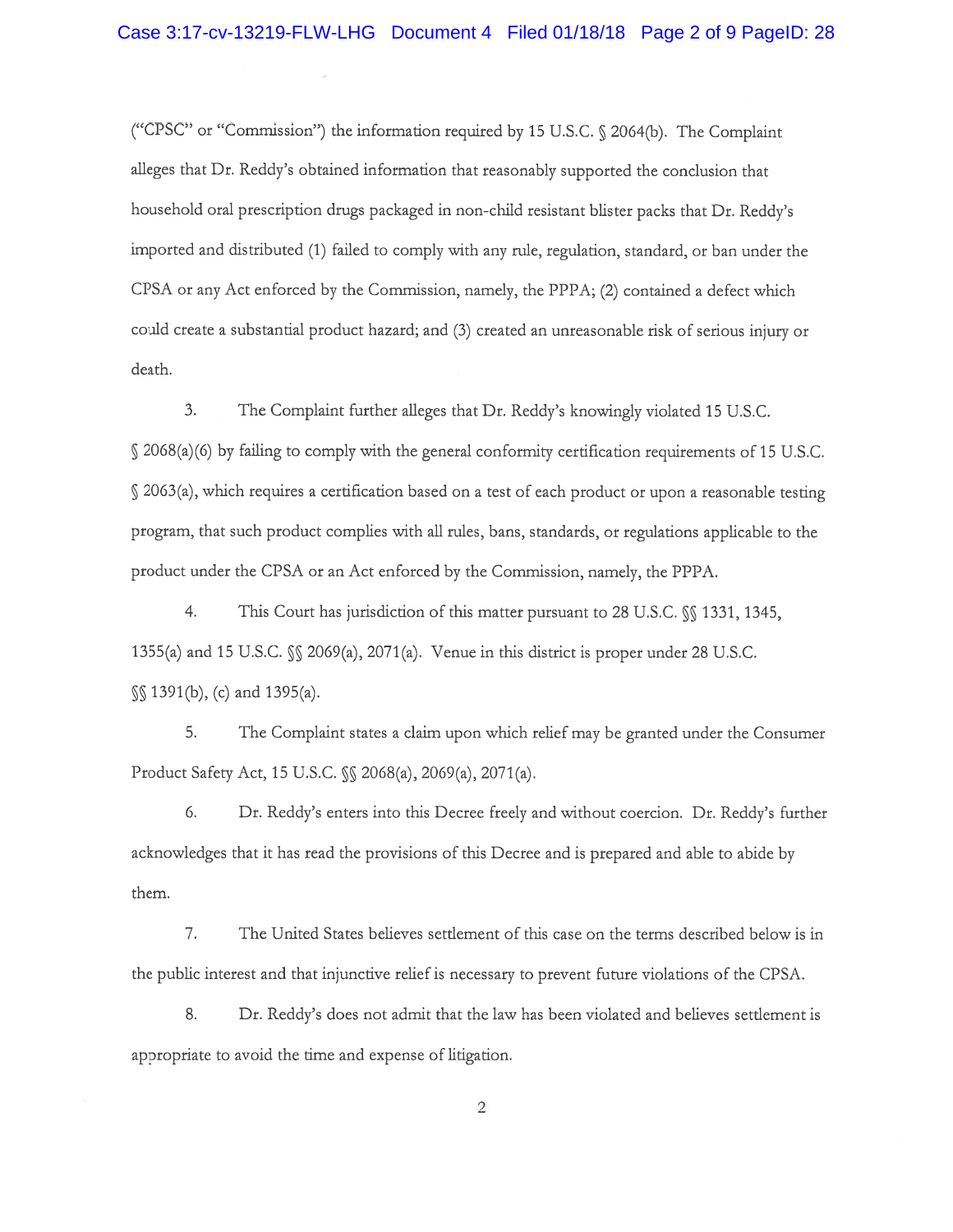("CPSC" or "Commission") the information required by <sup>15</sup> U.S.C. 2064(b). The Complaint alleges that Dr. Reddy's obtained information that reasonably supported the conclusion that household oral prescription drugs packaged in non-child resistant blister packs that Dr. Reddy's imported and distributed (1) failed to comply with any rule, regulation, standard, or ban under the CPSA or any Act enforced by the Commission, namely, the PPPA; (2) contained <sup>a</sup> defect which could create <sup>a</sup> substantial product hazard; and (3) created an unreasonable risk of serious injury or death.

3. The Complaint further alleges that Dr. Reddy's knowingly violated 15 U.S.C. § 2068(a)(6) by falling to comply with the genera<sup>l</sup> conformity certification requirements of <sup>15</sup> U.S.C. 2063(a), which requires <sup>a</sup> certification based on <sup>a</sup> test of each product or upon <sup>a</sup> reasonable testing program, that such product complies with all rules, bans, standards, or regulations applicable to the product under the CPSA or an Act enforced by the Commission, namely, the PPPA.

4. This Court has jurisdiction of this matter pursuant to 28 U.S.C.  $\%$  1331, 1345, 1355(a) and 15 U.S.C.  $\mathcal{N}$  2069(a), 2071(a). Venue in this district is proper under 28 U.S.C. 1391(b), (c) and 1395(a).

5. The Complaint states <sup>a</sup> claim upon which relief may be granted under the Consumer Product Safety Act, <sup>15</sup> U.S.C. §S 2068(a), 2069(a), 2071(a).

6. Dr. Reddy's enters into this Decree freely and without coercion. Dr. Reddy's further acknowledges that it has read the provisions of this Decree and is prepared and able to abide by them.

7. The United States believes settlement of this case on the terms described below is in the public interest and that injunctive relief is necessary to preven<sup>t</sup> future violations of the CPSA.

8. Dr. Reddy's does not admit that the law has been violated and believes settlement is appropriate to avoid the time and expense of litigation.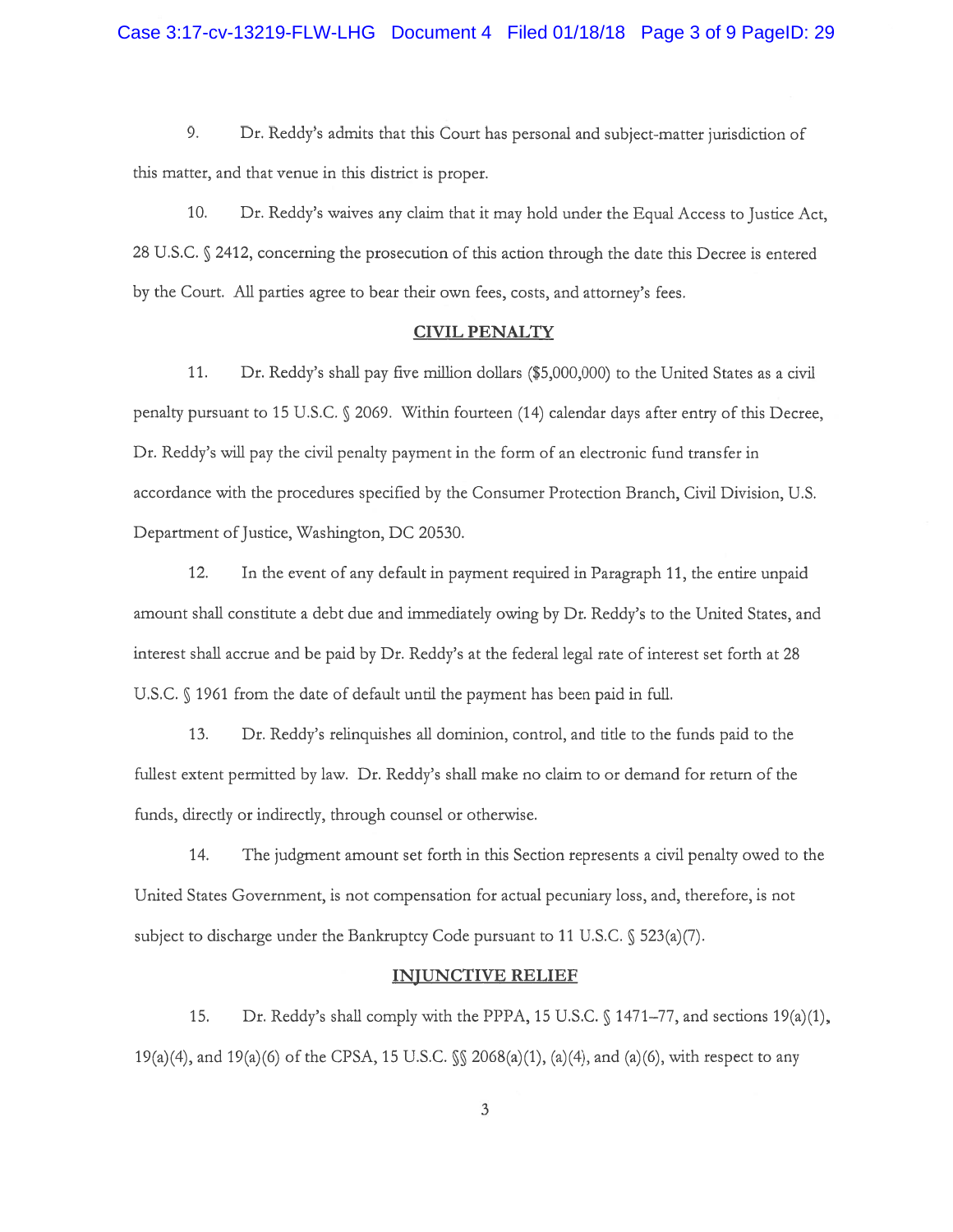9. Dr. Reddy's admits that this Court has personal and subject-matter jurisdiction of this matter, and that venue in this district is proper.

10. Dr. Reddy's waives any claim that it may hold under the Equal Access to Justice Act, 28 U.S.C. § 2412, concerning the prosecution of this action through the date this Decree is entered by the Court. All parties agree to bear their own fees, costs, and attorney's fees.

#### CIVIL PENALTY

11. Dr. Reddy's shall pay five million dollars (\$5,000,000) to the United States as <sup>a</sup> civil penalty pursuan<sup>t</sup> to 15 U.S.C. 2069. Within fourteen (14) calendar days after entry of this Decree, Dr. Reddy's will pay the civil penalty paymen<sup>t</sup> in the form of an electronic fund transfer in accordance with the procedures specified by the Consumer Protection Branch, Civil Division, U.S. Department of Justice, Washington, DC 20530.

12. In the event of any default in paymen<sup>t</sup> required in Paragraph 11, the entire unpaid amount shall constitute <sup>a</sup> debt due and immediately owing by Dr. Reddy's to the United States, and interest shall accrue and be paid by Dr. Reddy's at the federal legal rate of interest set forth at 2\$ U.S.C. § 1961 from the date of default until the payment has been paid in full.

13. Dr. Reddy's relinquishes all dominion, control, and tide to the funds paid to the fullest extent permitted by law. Dr. Reddy's shall make no claim to or demand for return of the funds, directly or indirectly, through counsel or otherwise.

14. The judgment amount set forth in this Section represents <sup>a</sup> civil penalty owed to the United States Government, is not compensation for actual pecuniary loss, and, therefore, is not subject to discharge under the Bankruptcy Code pursuant to 11 U.S.C.  $\S$  523(a)(7).

### INJUNCTIVE RELIEF

15. Dr. Reddy's shall comply with the PPPA, 15 U.S.C.  $\setminus$  1471–77, and sections 19(a)(1), 19(a)(4, and 19(a)(6) of the CPSA, 15 U.S.C. 206\$(a)(1), (a)(4), and (a)(6), with respec<sup>t</sup> to any

3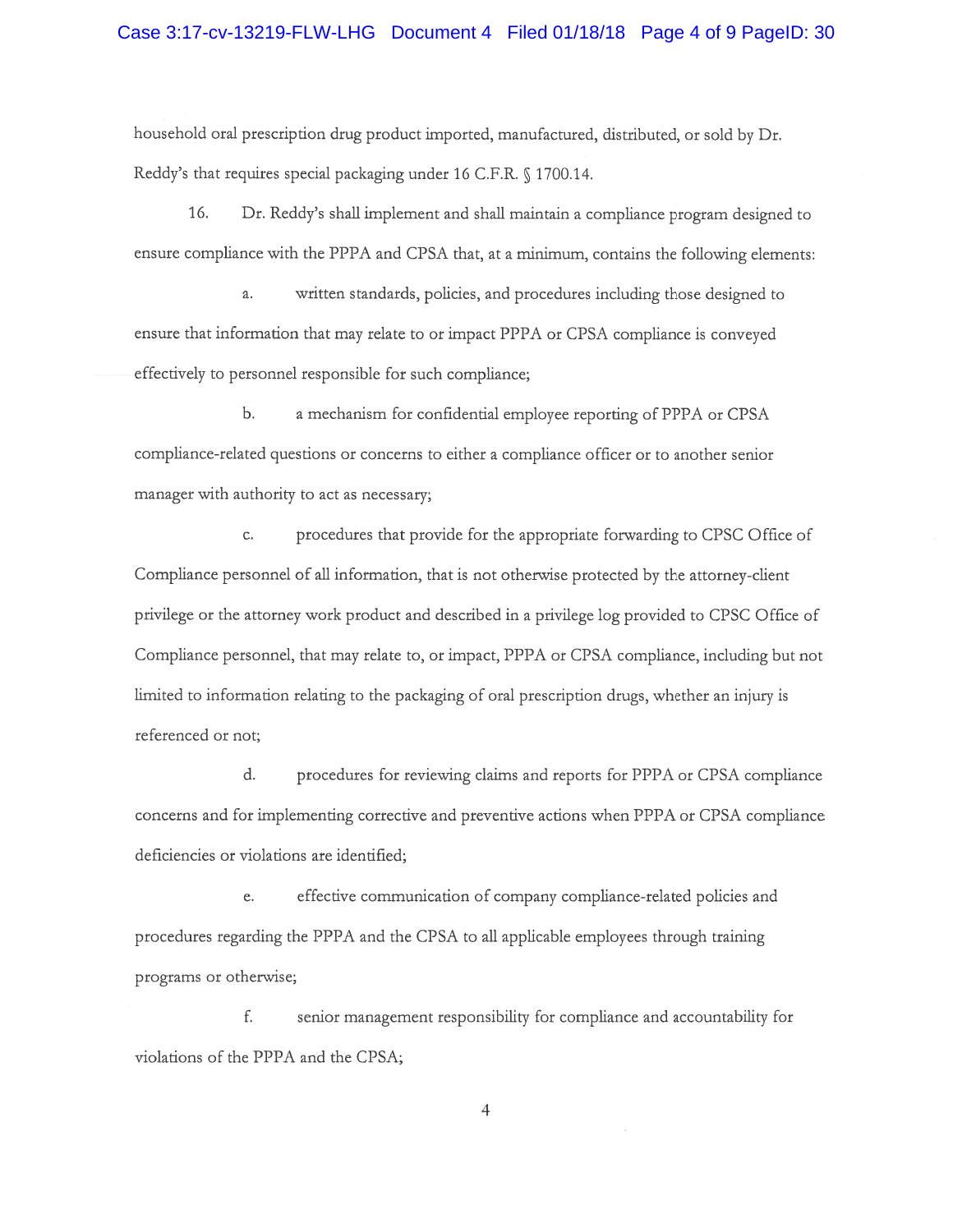household oral prescription drug product imported, manufactured, distributed, or sold by Dr. Reddy's that requires special packaging under 16 C.F.R. § 1700.14.

16. Dr. Reddy's shall implement and shall maintain <sup>a</sup> compliance program designed to ensure compliance with the PPPA and CPSA that, at <sup>a</sup> minimum, contains the following elements:

a. written standards, policies, and procedures including those designed to ensure that information that may relate to or impact PPPA or CPSA compliance is conveyed effectively to personnel responsible for such compliance;

b. <sup>a</sup> mechanism for confidential employee reporting of PPPA or CPSA compliance-related questions or concerns to either <sup>a</sup> compliance officer or to another senior manager with authority to act as necessary;

c. procedures that provide for the appropriate forwarding to CPSC Office of Compliance personnel of all information, that is not otherwise protected by the attorney-client privilege or the attorney work product and described in <sup>a</sup> privilege log provided to CPSC Office of Compliance personnel, that may relate to, or impact, PPPA or CPSA compliance, including but not limited to information relating to the packaging of oral prescription drugs, whether an injury is referenced or not;

d. procedures for reviewing claims and reports for PPPA or CPSA compliance concerns and for implementing corrective and preventive actions when PPPA or CPSA compliance deficiencies or violations are identified;

e. effective communication of company compliance-related policies and procedures regarding the PPPA and the CPSA to all applicable employees through training programs or otherwise;

f. senior managemen<sup>t</sup> responsibility for compliance and accountability for violations of the PPPA and the CPSA;

4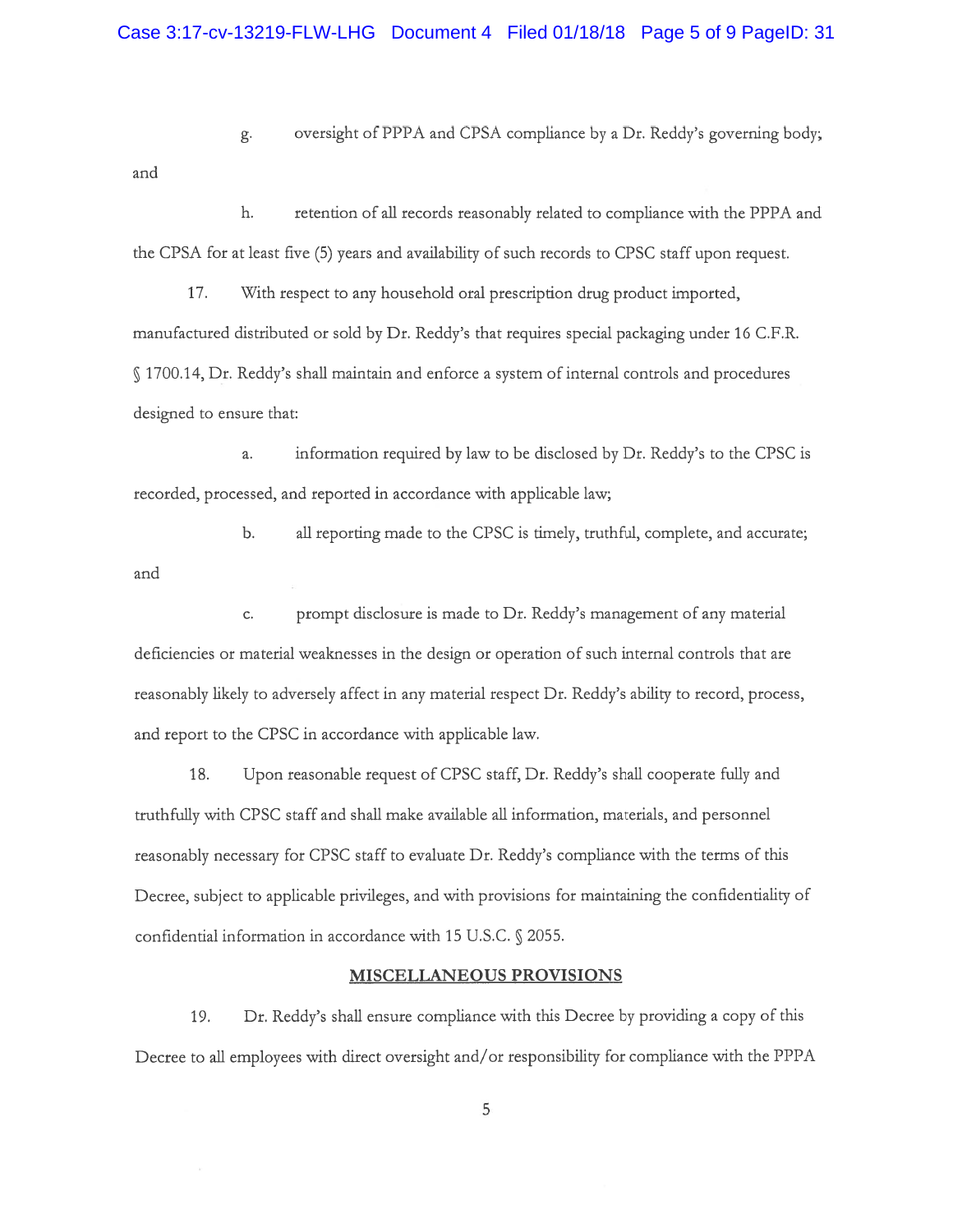g. oversight of PPPA and CPSA compliance by <sup>a</sup> Dr. Reddy's governing body; and

h. retention of all records reasonably related to compliance with the PPPA and the CPSA for at least five (5) years and availability of such records to CPSC staff upon request.

17. With respec<sup>t</sup> to any household oral prescription drug product imported, manufactured distributed or sold by Dr. Reddy's that requires special packaging under 16 C.F.R. 1700.14, Dr. Reddy's shall maintain and enforce <sup>a</sup> system of internal controls and procedures designed to ensure that;

a. information required by law to be disclosed by Dr. Reddy's to the CPSC is recorded, processed, and reported in accordance with applicable law;

b. all reporting made to the CPSC is timely, truthful, complete, and accurate; and

c. promp<sup>t</sup> disclosure is made to Dr. Reddy's managemen<sup>t</sup> of any material deficiencies or material weaknesses in the design or operation of such internal controls that are reasonably likely to adversely affect in any material respec<sup>t</sup> Dr. Reddy's ability to record, process, and repor<sup>t</sup> to the CPSC in accordance with applicable law.

18. Upon reasonable request of CPSC staff, Dr. Reddy's shall cooperate fully and truthfully with CPSC staff and shall make available all information, materials, and personnel reasonably necessary for CPSC staff to evaluate Dr. Reddy's compliance with the terms of this Decree, subject to applicable privileges, and with provisions for maintaining the confidentiality of confidential information in accordance with 15 U.S.C.  $\S$  2055.

## MISCELLANEOUS PROVISIONS

19. Dr. Reddy's shall ensure compliance with this Decree by providing <sup>a</sup> copy of this Decree to all employees with direct oversight and/or responsibility for compliance with the PPPA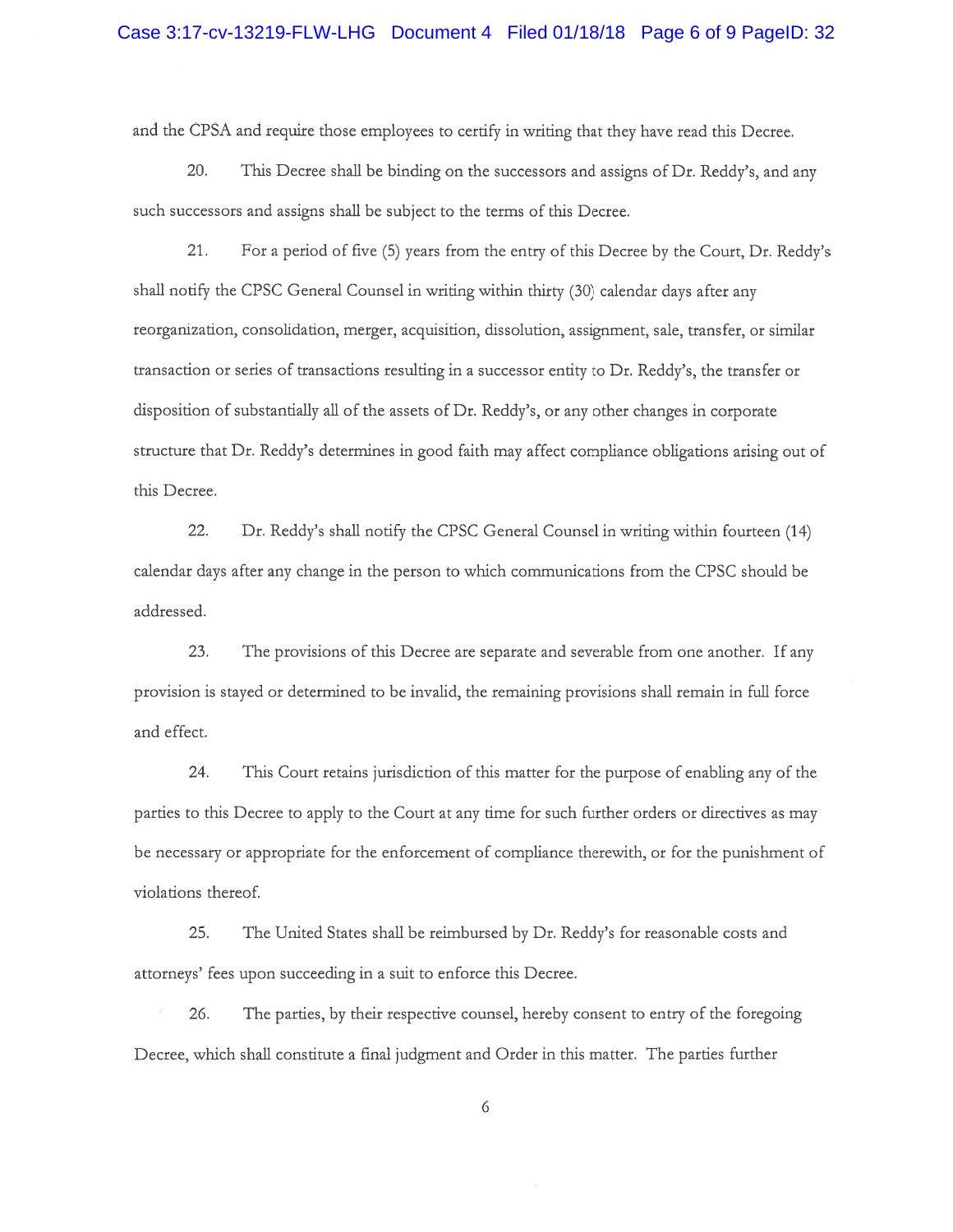and the CPSA and require those employees to certify in writing that they have read this Decree.

20. This Decree shall be binding on the successors and assigns of Dr. Reddy's, and any such successors and assigns shall be subject to the terms of this Decree.

21. For <sup>a</sup> period of five (5) years from the entry of this Decree by the Court, Dr. Reddy's shall notify the CPSC General Counsel in writing within thirty (30) calendar days after any reorganization, consolidation, merger, acquisition, dissolution, assignment, sale, transfer, or similar transaction or series of transactions resulting in <sup>a</sup> successor entity to Dr. Reddy's, the transfer or disposition of substantially all of the assets of Dr. Reddy's, or any other changes in corporate structure that Dr. Reddy's determines in good faith may affect compliance obligations arising out of this Decree.

22. Dr. Reddy's shall notify the CPSC General Counsel in writing within fourteen (14) calendar days after any change in the person to which communications from the CPSC should be addressed.

23. The provisions of this Decree are separate and severable from one another. If any provision is stayed or determined to be invalid, the remaining provisions shall remain in full force and effect.

24. This Court retains jurisdiction of this matter for the purpose of enabling any of the parties to this Decree to apply to the Court at any time for such further orders or directives as may be necessary or appropriate for the enforcement of compliance therewith, or for the punishment of violations thereof.

25. The United States shall be reimbursed by Dr. Reddy's for reasonable costs and attorneys' fees upon succeeding in <sup>a</sup> suit to enforce this Decree.

26. The parties, by their respective counsel, hereby consent to entry of the foregoing Decree, which shall constitute <sup>a</sup> final judgment and Order in this matter. The parties further

6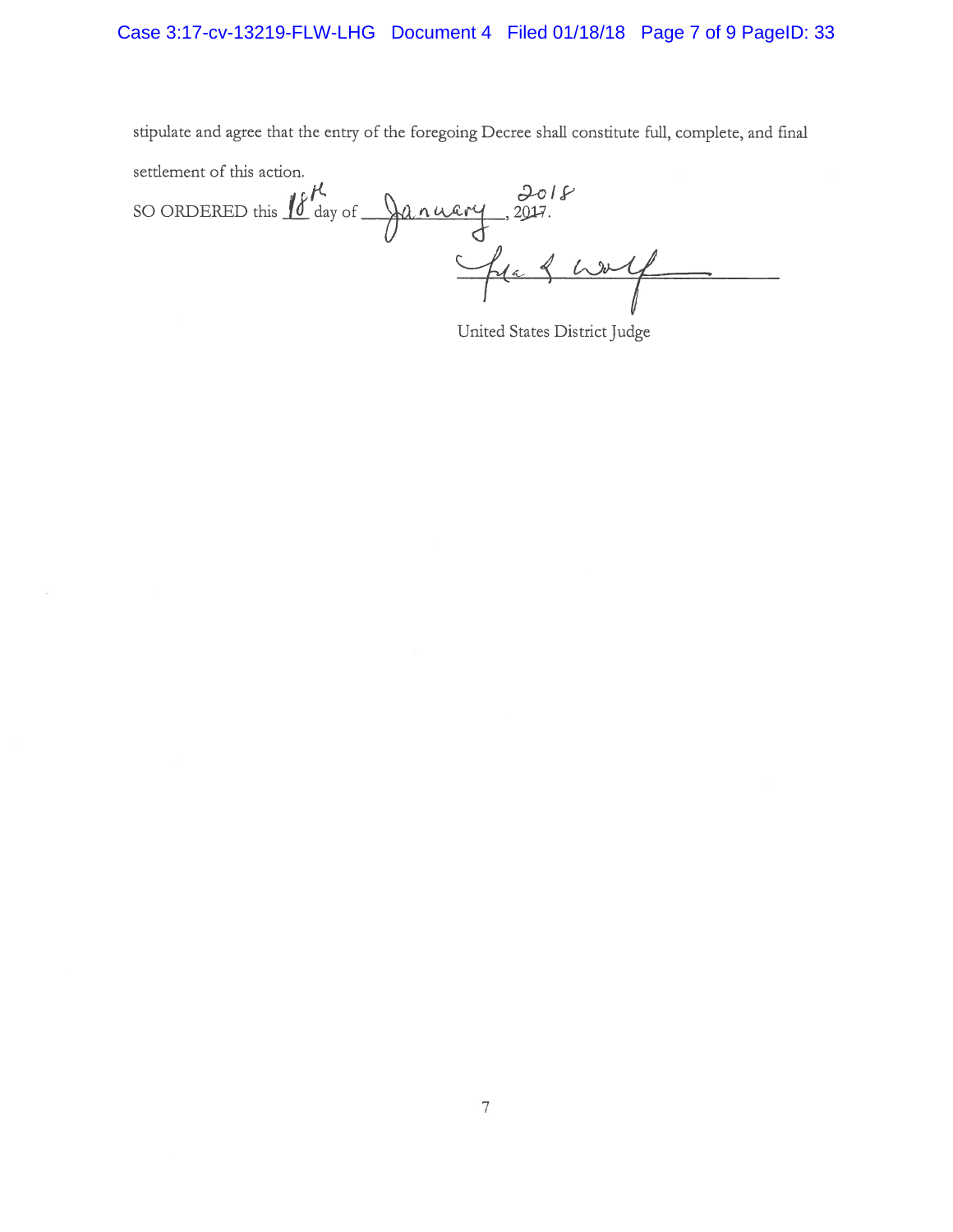stipulate and agree that the entry of the foregoing Decree shall constitute full, complete, and final settlement of this action.  $c/t$  c  $2c/s$ 

SO ORDERED this  $\boxed{0}$  day of  $\frac{1}{2}$ . ruery, 2017

United States District Judge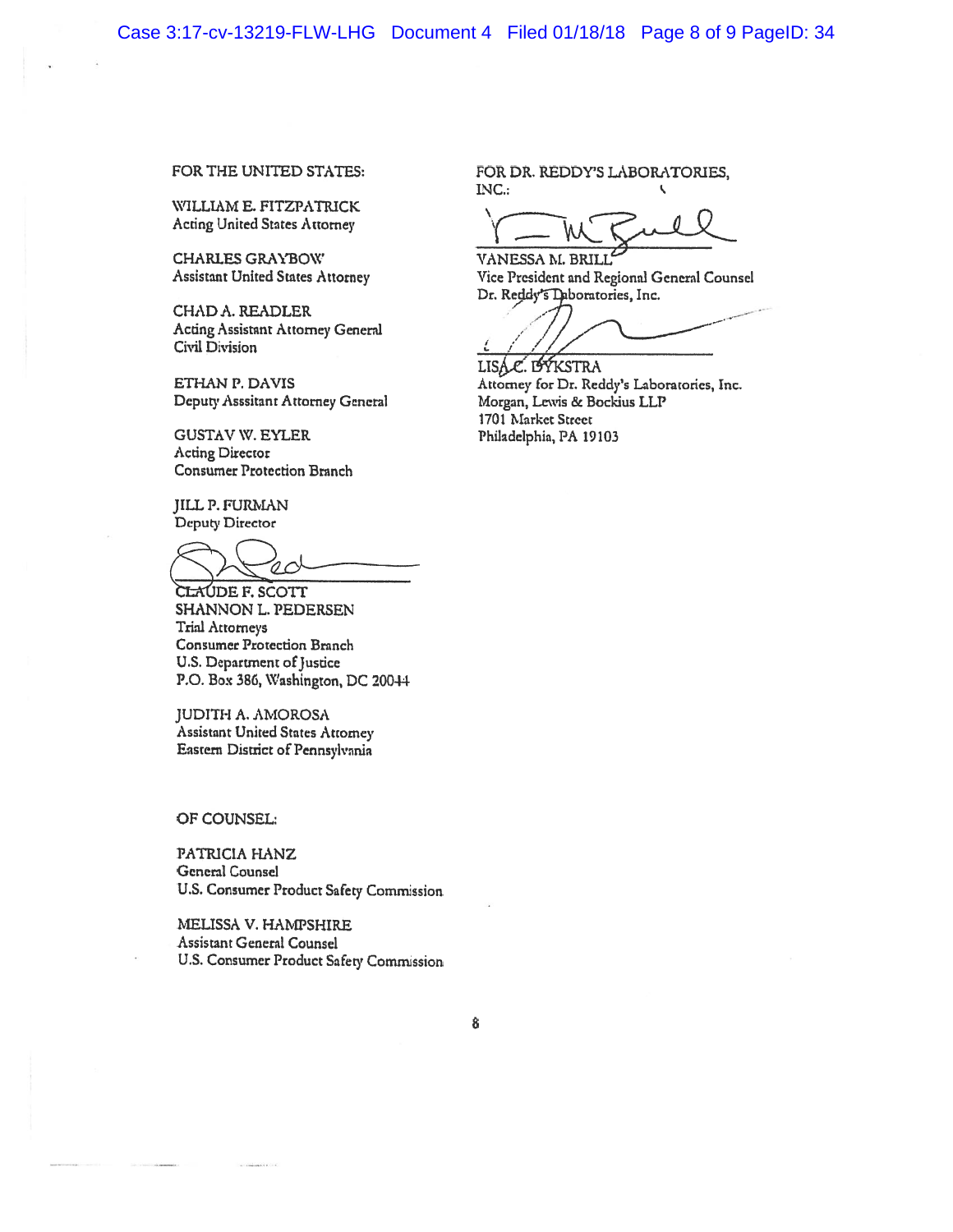WILLIAM E. FITZPATRICK Acting United States Attorney

CHARLES GRAYBOW VANESSA M. BRILL

CHAD A. READLER Acting Assistant Attorney General Civil Division

Deputy Asssitant Attorney General Morgan, Lewis & Bockius LLP

GUSTAV W. EYLER Philadelphia, PA 19103 Acting Director Consumer Protection Branch

JILL?. FURMAN Deputy Director

CLAUDE F. SCOTT SHANNON L. PEDERSEN Trial Attorneys Consumer Protection Branch U.S. Department of Justice P.O. Box 386, Washington, DC 20044

JUDITH A. AMQROSA Assistant United States Attorney Eastern District of Pennsylvania

OF COUNSEL:

PATRICIA HANZ General Counsel U.S. Consumer Product Safety Commission

MELISSA V. HAMPSHIRE Assistant General Counsel U.S. Consumer Product Safety Commission

FOR THE UNITED STATES: FOR DR. REDDY'S LABORATORIES, INC.;

Assistant United States Attorney Vice President and Regional General Counsel Dr. Reddy's Daboratories, Inc.

.- . --

LISAC. LAYKSTRA ETHAN P. DAVIS **Attorney for Dr. Reddy's Laboratories**, Inc. 1701 Market Street